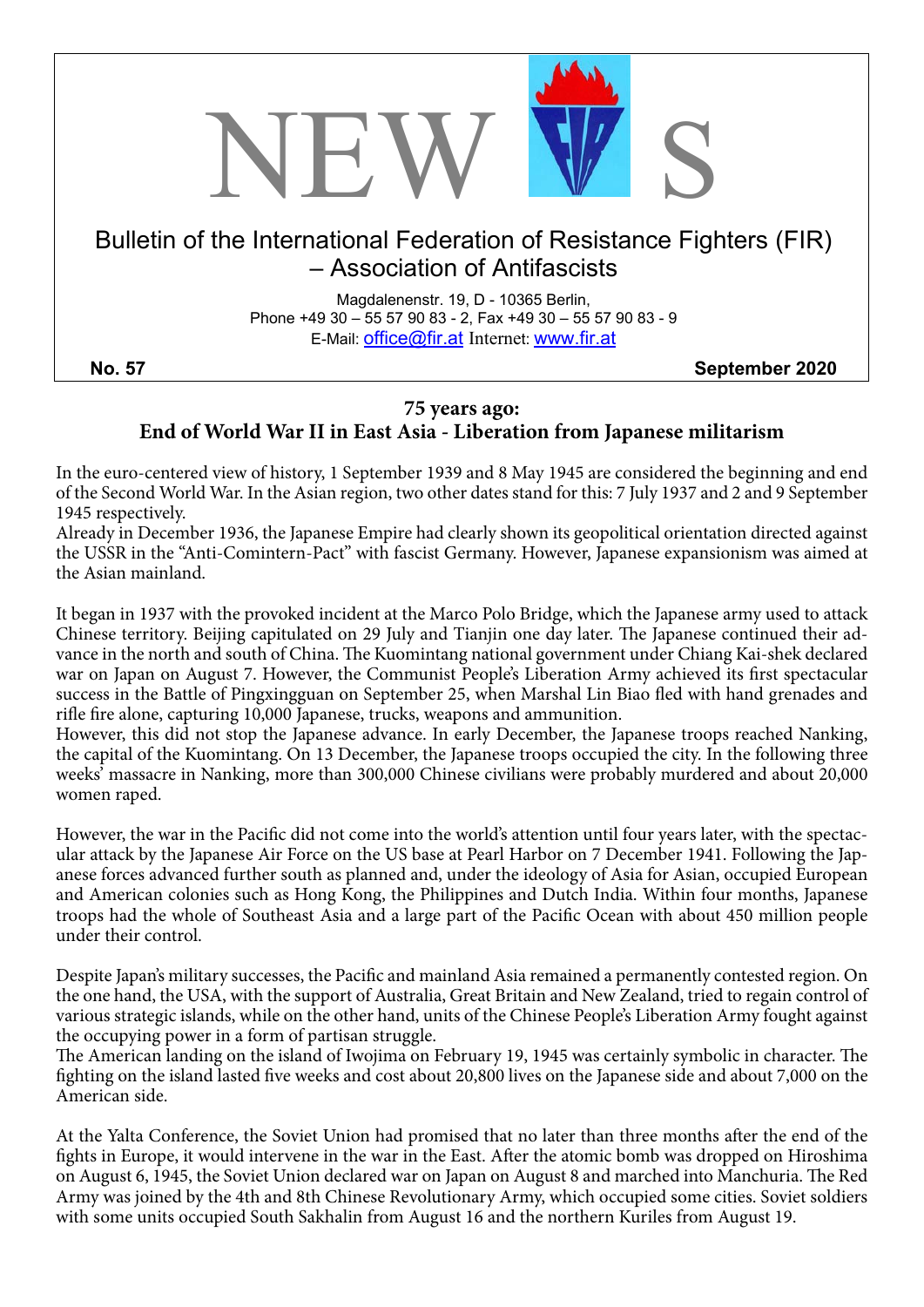

### **75 years ago: End of World War II in East Asia - Liberation from Japanese militarism**

In the euro-centered view of history, 1 September 1939 and 8 May 1945 are considered the beginning and end of the Second World War. In the Asian region, two other dates stand for this: 7 July 1937 and 2 and 9 September 1945 respectively.

Already in December 1936, the Japanese Empire had clearly shown its geopolitical orientation directed against the USSR in the "Anti-Comintern-Pact" with fascist Germany. However, Japanese expansionism was aimed at the Asian mainland.

It began in 1937 with the provoked incident at the Marco Polo Bridge, which the Japanese army used to attack Chinese territory. Beijing capitulated on 29 July and Tianjin one day later. The Japanese continued their advance in the north and south of China. The Kuomintang national government under Chiang Kai-shek declared war on Japan on August 7. However, the Communist People's Liberation Army achieved its first spectacular success in the Battle of Pingxingguan on September 25, when Marshal Lin Biao fled with hand grenades and rifle fire alone, capturing 10,000 Japanese, trucks, weapons and ammunition.

However, this did not stop the Japanese advance. In early December, the Japanese troops reached Nanking, the capital of the Kuomintang. On 13 December, the Japanese troops occupied the city. In the following three weeks' massacre in Nanking, more than 300,000 Chinese civilians were probably murdered and about 20,000 women raped.

However, the war in the Pacific did not come into the world's attention until four years later, with the spectacular attack by the Japanese Air Force on the US base at Pearl Harbor on 7 December 1941. Following the Japanese forces advanced further south as planned and, under the ideology of Asia for Asian, occupied European and American colonies such as Hong Kong, the Philippines and Dutch India. Within four months, Japanese troops had the whole of Southeast Asia and a large part of the Pacific Ocean with about 450 million people under their control.

Despite Japan's military successes, the Pacific and mainland Asia remained a permanently contested region. On the one hand, the USA, with the support of Australia, Great Britain and New Zealand, tried to regain control of various strategic islands, while on the other hand, units of the Chinese People's Liberation Army fought against the occupying power in a form of partisan struggle.

The American landing on the island of Iwojima on February 19, 1945 was certainly symbolic in character. The fighting on the island lasted five weeks and cost about 20,800 lives on the Japanese side and about 7,000 on the American side.

At the Yalta Conference, the Soviet Union had promised that no later than three months after the end of the fights in Europe, it would intervene in the war in the East. After the atomic bomb was dropped on Hiroshima on August 6, 1945, the Soviet Union declared war on Japan on August 8 and marched into Manchuria. The Red Army was joined by the 4th and 8th Chinese Revolutionary Army, which occupied some cities. Soviet soldiers with some units occupied South Sakhalin from August 16 and the northern Kuriles from August 19.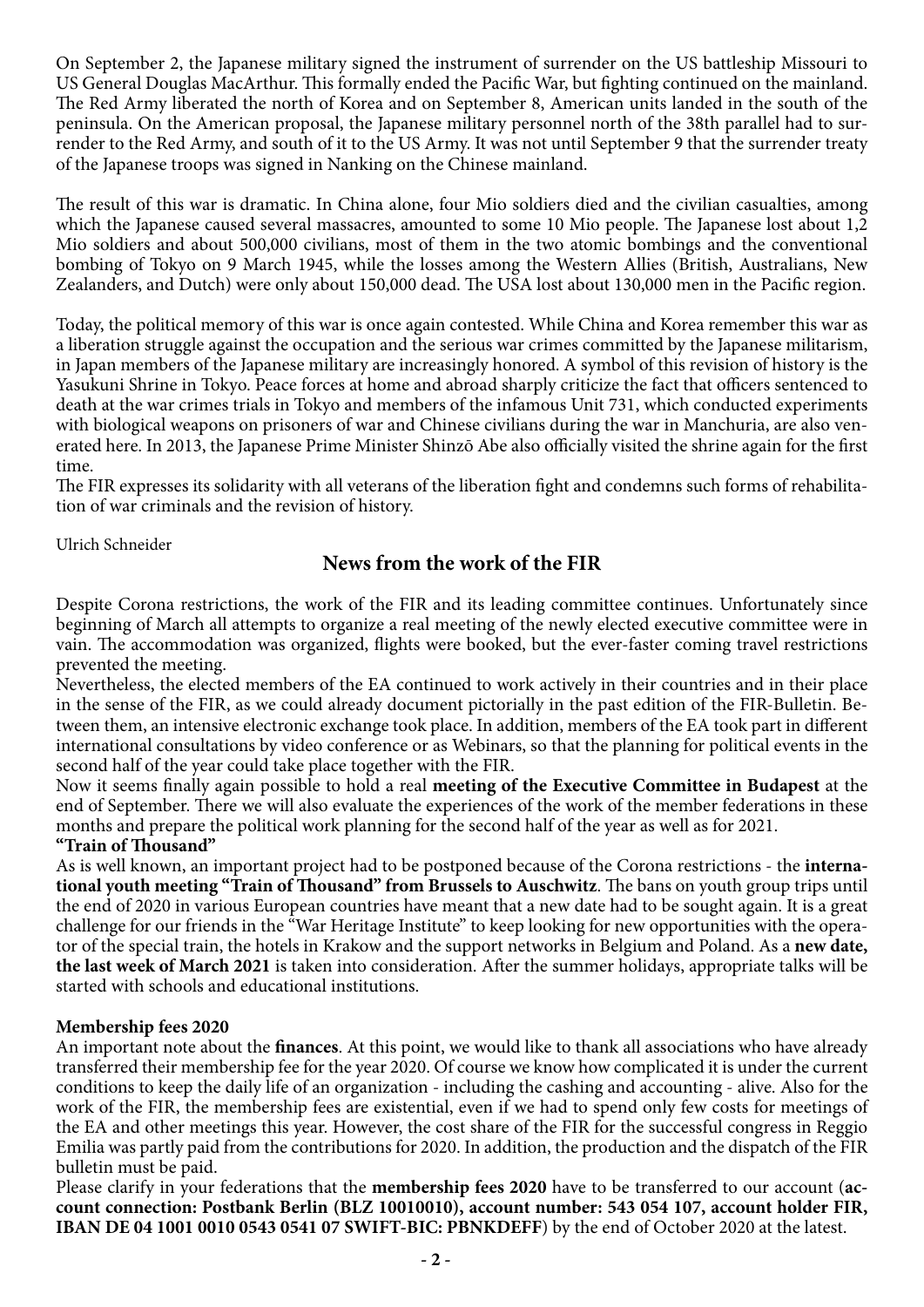On September 2, the Japanese military signed the instrument of surrender on the US battleship Missouri to US General Douglas MacArthur. This formally ended the Pacific War, but fighting continued on the mainland. The Red Army liberated the north of Korea and on September 8, American units landed in the south of the peninsula. On the American proposal, the Japanese military personnel north of the 38th parallel had to surrender to the Red Army, and south of it to the US Army. It was not until September 9 that the surrender treaty of the Japanese troops was signed in Nanking on the Chinese mainland.

The result of this war is dramatic. In China alone, four Mio soldiers died and the civilian casualties, among which the Japanese caused several massacres, amounted to some 10 Mio people. The Japanese lost about 1,2 Mio soldiers and about 500,000 civilians, most of them in the two atomic bombings and the conventional bombing of Tokyo on 9 March 1945, while the losses among the Western Allies (British, Australians, New Zealanders, and Dutch) were only about 150,000 dead. The USA lost about 130,000 men in the Pacific region.

Today, the political memory of this war is once again contested. While China and Korea remember this war as a liberation struggle against the occupation and the serious war crimes committed by the Japanese militarism, in Japan members of the Japanese military are increasingly honored. A symbol of this revision of history is the Yasukuni Shrine in Tokyo. Peace forces at home and abroad sharply criticize the fact that officers sentenced to death at the war crimes trials in Tokyo and members of the infamous Unit 731, which conducted experiments with biological weapons on prisoners of war and Chinese civilians during the war in Manchuria, are also venerated here. In 2013, the Japanese Prime Minister Shinzō Abe also officially visited the shrine again for the first time.

The FIR expresses its solidarity with all veterans of the liberation fight and condemns such forms of rehabilitation of war criminals and the revision of history.

Ulrich Schneider

# **News from the work of the FIR**

Despite Corona restrictions, the work of the FIR and its leading committee continues. Unfortunately since beginning of March all attempts to organize a real meeting of the newly elected executive committee were in vain. The accommodation was organized, flights were booked, but the ever-faster coming travel restrictions prevented the meeting.

Nevertheless, the elected members of the EA continued to work actively in their countries and in their place in the sense of the FIR, as we could already document pictorially in the past edition of the FIR-Bulletin. Between them, an intensive electronic exchange took place. In addition, members of the EA took part in different international consultations by video conference or as Webinars, so that the planning for political events in the second half of the year could take place together with the FIR.

Now it seems finally again possible to hold a real **meeting of the Executive Committee in Budapest** at the end of September. There we will also evaluate the experiences of the work of the member federations in these months and prepare the political work planning for the second half of the year as well as for 2021.

## **"Train of Thousand"**

As is well known, an important project had to be postponed because of the Corona restrictions - the **international youth meeting "Train of Thousand" from Brussels to Auschwitz**. The bans on youth group trips until the end of 2020 in various European countries have meant that a new date had to be sought again. It is a great challenge for our friends in the "War Heritage Institute" to keep looking for new opportunities with the operator of the special train, the hotels in Krakow and the support networks in Belgium and Poland. As a **new date, the last week of March 2021** is taken into consideration. After the summer holidays, appropriate talks will be started with schools and educational institutions.

#### **Membership fees 2020**

An important note about the **finances**. At this point, we would like to thank all associations who have already transferred their membership fee for the year 2020. Of course we know how complicated it is under the current conditions to keep the daily life of an organization - including the cashing and accounting - alive. Also for the work of the FIR, the membership fees are existential, even if we had to spend only few costs for meetings of the EA and other meetings this year. However, the cost share of the FIR for the successful congress in Reggio Emilia was partly paid from the contributions for 2020. In addition, the production and the dispatch of the FIR bulletin must be paid.

Please clarify in your federations that the **membership fees 2020** have to be transferred to our account (**account connection: Postbank Berlin (BLZ 10010010), account number: 543 054 107, account holder FIR, IBAN DE 04 1001 0010 0543 0541 07 SWIFT-BIC: PBNKDEFF**) by the end of October 2020 at the latest.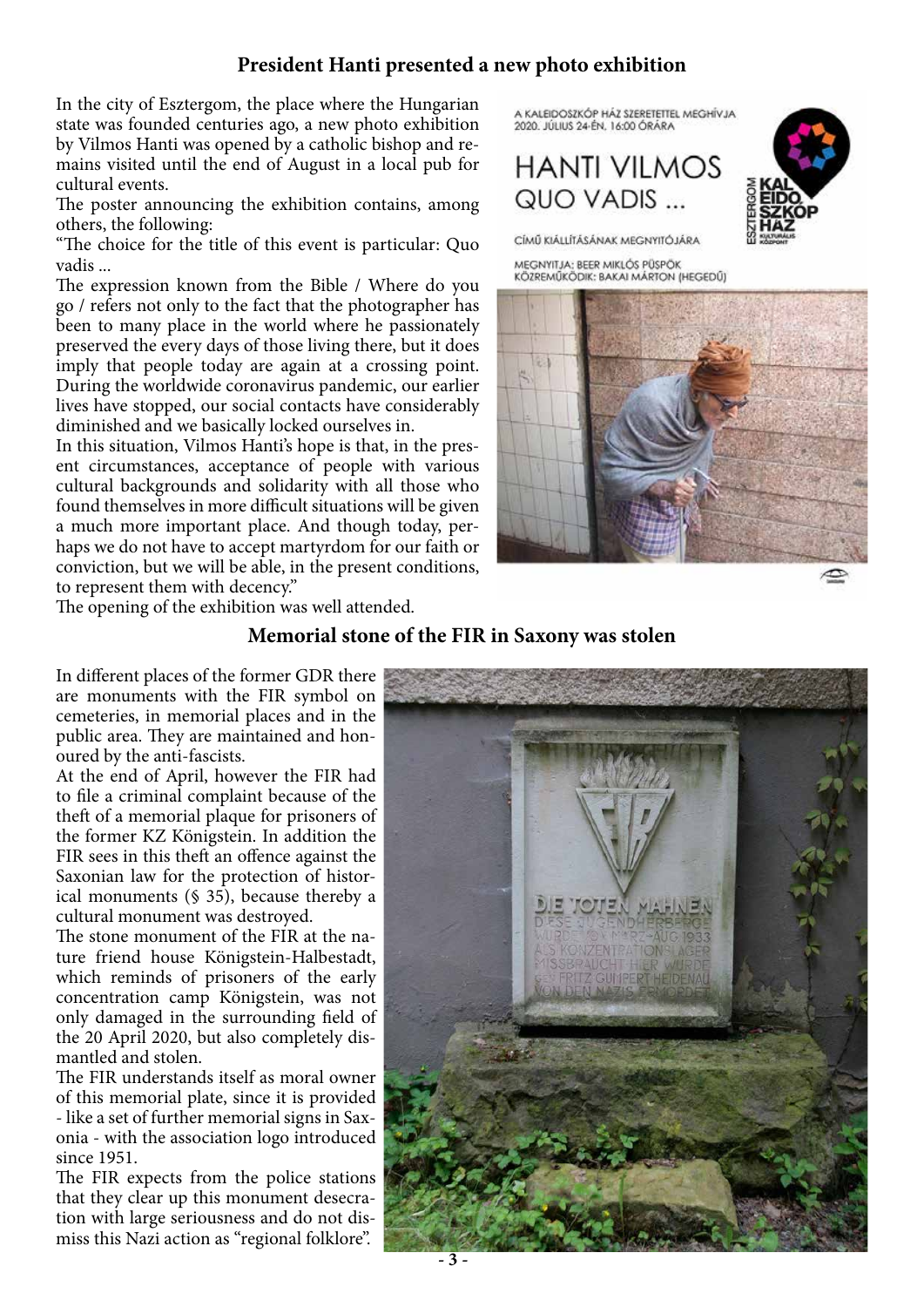# **President Hanti presented a new photo exhibition**

In the city of Esztergom, the place where the Hungarian state was founded centuries ago, a new photo exhibition by Vilmos Hanti was opened by a catholic bishop and remains visited until the end of August in a local pub for cultural events.

The poster announcing the exhibition contains, among others, the following:

"The choice for the title of this event is particular: Quo vadis ...

The expression known from the Bible / Where do you go / refers not only to the fact that the photographer has been to many place in the world where he passionately preserved the every days of those living there, but it does imply that people today are again at a crossing point. During the worldwide coronavirus pandemic, our earlier lives have stopped, our social contacts have considerably diminished and we basically locked ourselves in.

In this situation, Vilmos Hanti's hope is that, in the present circumstances, acceptance of people with various cultural backgrounds and solidarity with all those who found themselves in more difficult situations will be given a much more important place. And though today, perhaps we do not have to accept martyrdom for our faith or conviction, but we will be able, in the present conditions, to represent them with decency."

The opening of the exhibition was well attended.

A KALEIDOSZKÓP HÁZ SZERETETTEL MEGHÍVJA 2020. JÚLIUS 24-ÉN. 16:00 ÓRÁRA

# **HANTI VII MOS** QUO VADIS ...



CÍMŰ KIÁLLÍTÁSÁNAK MEGNYITÓJÁRA

MEGNYITJA: BEER MIKLÓS PÜSPÖK KÖZREMŰKÖDIK: BAKAI MÁRTON (HEGEDŰ)



# **Memorial stone of the FIR in Saxony was stolen**

In different places of the former GDR there are monuments with the FIR symbol on cemeteries, in memorial places and in the public area. They are maintained and honoured by the anti-fascists.

At the end of April, however the FIR had to file a criminal complaint because of the theft of a memorial plaque for prisoners of the former KZ Königstein. In addition the FIR sees in this theft an offence against the Saxonian law for the protection of historical monuments (§ 35), because thereby a cultural monument was destroyed.

The stone monument of the FIR at the nature friend house Königstein-Halbestadt, which reminds of prisoners of the early concentration camp Königstein, was not only damaged in the surrounding field of the 20 April 2020, but also completely dismantled and stolen.

The FIR understands itself as moral owner of this memorial plate, since it is provided - like a set of further memorial signs in Saxonia - with the association logo introduced since 1951.

The FIR expects from the police stations that they clear up this monument desecration with large seriousness and do not dismiss this Nazi action as "regional folklore".

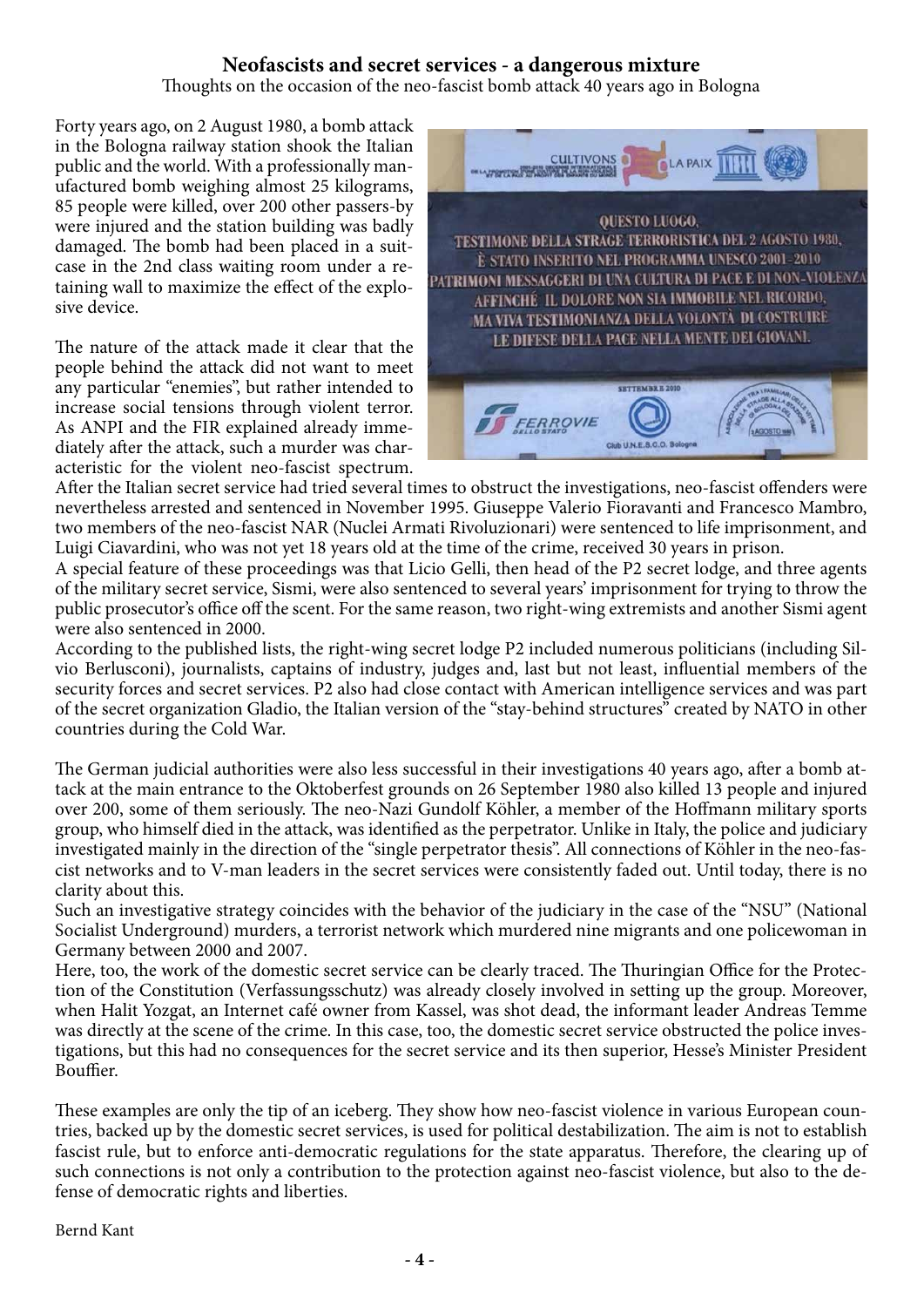# **Neofascists and secret services - a dangerous mixture**

Thoughts on the occasion of the neo-fascist bomb attack 40 years ago in Bologna

Forty years ago, on 2 August 1980, a bomb attack in the Bologna railway station shook the Italian public and the world. With a professionally manufactured bomb weighing almost 25 kilograms, 85 people were killed, over 200 other passers-by were injured and the station building was badly damaged. The bomb had been placed in a suitcase in the 2nd class waiting room under a retaining wall to maximize the effect of the explosive device.

The nature of the attack made it clear that the people behind the attack did not want to meet any particular "enemies", but rather intended to increase social tensions through violent terror. As ANPI and the FIR explained already immediately after the attack, such a murder was characteristic for the violent neo-fascist spectrum.



After the Italian secret service had tried several times to obstruct the investigations, neo-fascist offenders were nevertheless arrested and sentenced in November 1995. Giuseppe Valerio Fioravanti and Francesco Mambro, two members of the neo-fascist NAR (Nuclei Armati Rivoluzionari) were sentenced to life imprisonment, and Luigi Ciavardini, who was not yet 18 years old at the time of the crime, received 30 years in prison.

A special feature of these proceedings was that Licio Gelli, then head of the P2 secret lodge, and three agents of the military secret service, Sismi, were also sentenced to several years' imprisonment for trying to throw the public prosecutor's office off the scent. For the same reason, two right-wing extremists and another Sismi agent were also sentenced in 2000.

According to the published lists, the right-wing secret lodge P2 included numerous politicians (including Silvio Berlusconi), journalists, captains of industry, judges and, last but not least, influential members of the security forces and secret services. P2 also had close contact with American intelligence services and was part of the secret organization Gladio, the Italian version of the "stay-behind structures" created by NATO in other countries during the Cold War.

The German judicial authorities were also less successful in their investigations 40 years ago, after a bomb attack at the main entrance to the Oktoberfest grounds on 26 September 1980 also killed 13 people and injured over 200, some of them seriously. The neo-Nazi Gundolf Köhler, a member of the Hoffmann military sports group, who himself died in the attack, was identified as the perpetrator. Unlike in Italy, the police and judiciary investigated mainly in the direction of the "single perpetrator thesis". All connections of Köhler in the neo-fascist networks and to V-man leaders in the secret services were consistently faded out. Until today, there is no clarity about this.

Such an investigative strategy coincides with the behavior of the judiciary in the case of the "NSU" (National Socialist Underground) murders, a terrorist network which murdered nine migrants and one policewoman in Germany between 2000 and 2007.

Here, too, the work of the domestic secret service can be clearly traced. The Thuringian Office for the Protection of the Constitution (Verfassungsschutz) was already closely involved in setting up the group. Moreover, when Halit Yozgat, an Internet café owner from Kassel, was shot dead, the informant leader Andreas Temme was directly at the scene of the crime. In this case, too, the domestic secret service obstructed the police investigations, but this had no consequences for the secret service and its then superior, Hesse's Minister President Bouffier.

These examples are only the tip of an iceberg. They show how neo-fascist violence in various European countries, backed up by the domestic secret services, is used for political destabilization. The aim is not to establish fascist rule, but to enforce anti-democratic regulations for the state apparatus. Therefore, the clearing up of such connections is not only a contribution to the protection against neo-fascist violence, but also to the defense of democratic rights and liberties.

Bernd Kant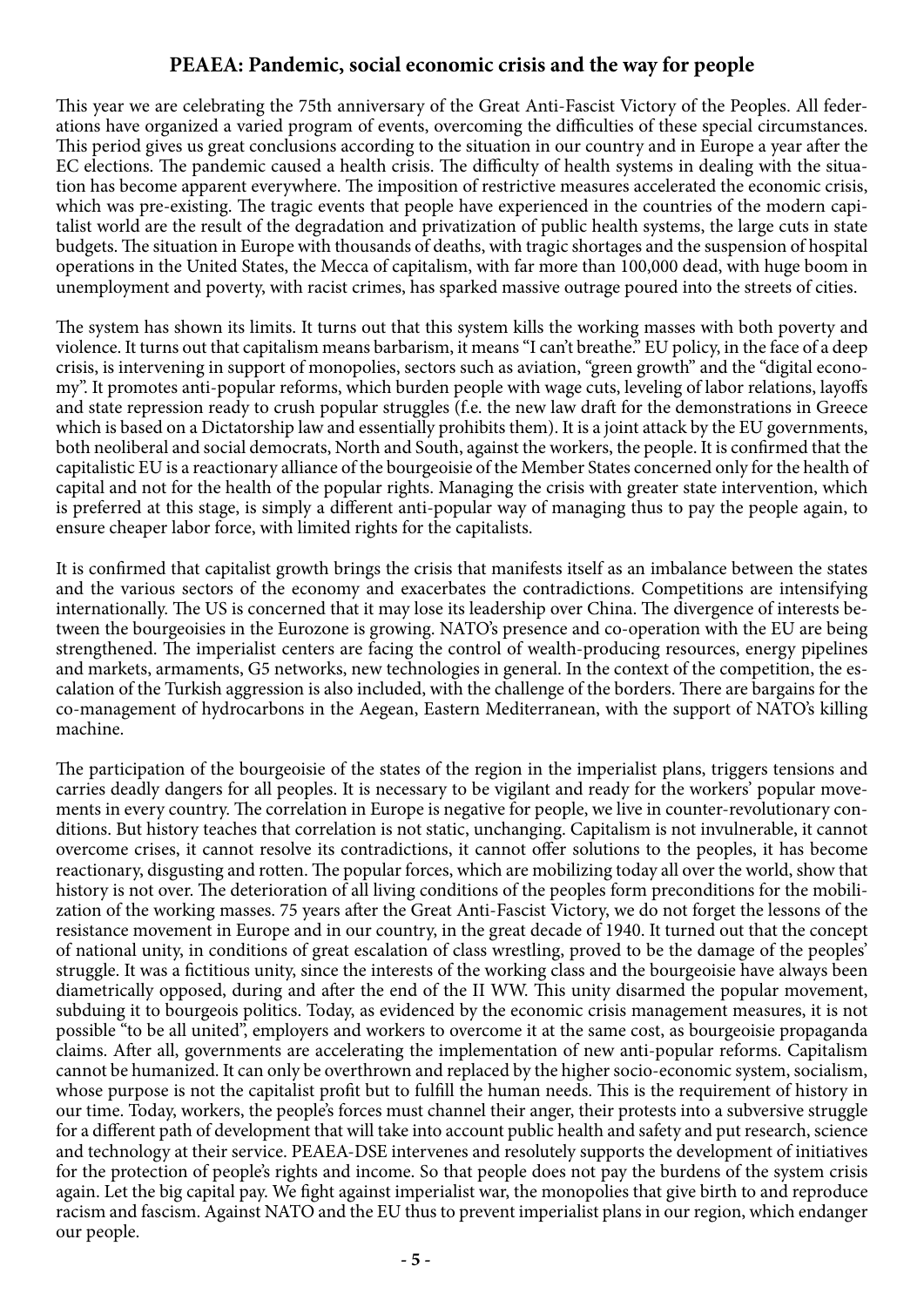# **PEAEA: Pandemic, social economic crisis and the way for people**

This year we are celebrating the 75th anniversary of the Great Anti-Fascist Victory of the Peoples. All federations have organized a varied program of events, overcoming the difficulties of these special circumstances. This period gives us great conclusions according to the situation in our country and in Europe a year after the EC elections. The pandemic caused a health crisis. The difficulty of health systems in dealing with the situation has become apparent everywhere. The imposition of restrictive measures accelerated the economic crisis, which was pre-existing. The tragic events that people have experienced in the countries of the modern capitalist world are the result of the degradation and privatization of public health systems, the large cuts in state budgets. The situation in Europe with thousands of deaths, with tragic shortages and the suspension of hospital operations in the United States, the Mecca of capitalism, with far more than 100,000 dead, with huge boom in unemployment and poverty, with racist crimes, has sparked massive outrage poured into the streets of cities.

The system has shown its limits. It turns out that this system kills the working masses with both poverty and violence. It turns out that capitalism means barbarism, it means "I can't breathe." EU policy, in the face of a deep crisis, is intervening in support of monopolies, sectors such as aviation, "green growth" and the "digital economy". It promotes anti-popular reforms, which burden people with wage cuts, leveling of labor relations, layoffs and state repression ready to crush popular struggles (f.e. the new law draft for the demonstrations in Greece which is based on a Dictatorship law and essentially prohibits them). It is a joint attack by the EU governments, both neoliberal and social democrats, North and South, against the workers, the people. It is confirmed that the capitalistic EU is a reactionary alliance of the bourgeoisie of the Member States concerned only for the health of capital and not for the health of the popular rights. Managing the crisis with greater state intervention, which is preferred at this stage, is simply a different anti-popular way of managing thus to pay the people again, to ensure cheaper labor force, with limited rights for the capitalists.

It is confirmed that capitalist growth brings the crisis that manifests itself as an imbalance between the states and the various sectors of the economy and exacerbates the contradictions. Competitions are intensifying internationally. The US is concerned that it may lose its leadership over China. The divergence of interests between the bourgeoisies in the Eurozone is growing. NATO's presence and co-operation with the EU are being strengthened. The imperialist centers are facing the control of wealth-producing resources, energy pipelines and markets, armaments, G5 networks, new technologies in general. In the context of the competition, the escalation of the Turkish aggression is also included, with the challenge of the borders. There are bargains for the co-management of hydrocarbons in the Aegean, Eastern Mediterranean, with the support of NATO's killing machine.

The participation of the bourgeoisie of the states of the region in the imperialist plans, triggers tensions and carries deadly dangers for all peoples. It is necessary to be vigilant and ready for the workers' popular movements in every country. The correlation in Europe is negative for people, we live in counter-revolutionary conditions. But history teaches that correlation is not static, unchanging. Capitalism is not invulnerable, it cannot overcome crises, it cannot resolve its contradictions, it cannot offer solutions to the peoples, it has become reactionary, disgusting and rotten. The popular forces, which are mobilizing today all over the world, show that history is not over. The deterioration of all living conditions of the peoples form preconditions for the mobilization of the working masses. 75 years after the Great Anti-Fascist Victory, we do not forget the lessons of the resistance movement in Europe and in our country, in the great decade of 1940. It turned out that the concept of national unity, in conditions of great escalation of class wrestling, proved to be the damage of the peoples' struggle. It was a fictitious unity, since the interests of the working class and the bourgeoisie have always been diametrically opposed, during and after the end of the II WW. This unity disarmed the popular movement, subduing it to bourgeois politics. Today, as evidenced by the economic crisis management measures, it is not possible "to be all united", employers and workers to overcome it at the same cost, as bourgeoisie propaganda claims. After all, governments are accelerating the implementation of new anti-popular reforms. Capitalism cannot be humanized. It can only be overthrown and replaced by the higher socio-economic system, socialism, whose purpose is not the capitalist profit but to fulfill the human needs. This is the requirement of history in our time. Today, workers, the people's forces must channel their anger, their protests into a subversive struggle for a different path of development that will take into account public health and safety and put research, science and technology at their service. PEAEA-DSE intervenes and resolutely supports the development of initiatives for the protection of people's rights and income. So that people does not pay the burdens of the system crisis again. Let the big capital pay. We fight against imperialist war, the monopolies that give birth to and reproduce racism and fascism. Against NATO and the EU thus to prevent imperialist plans in our region, which endanger our people.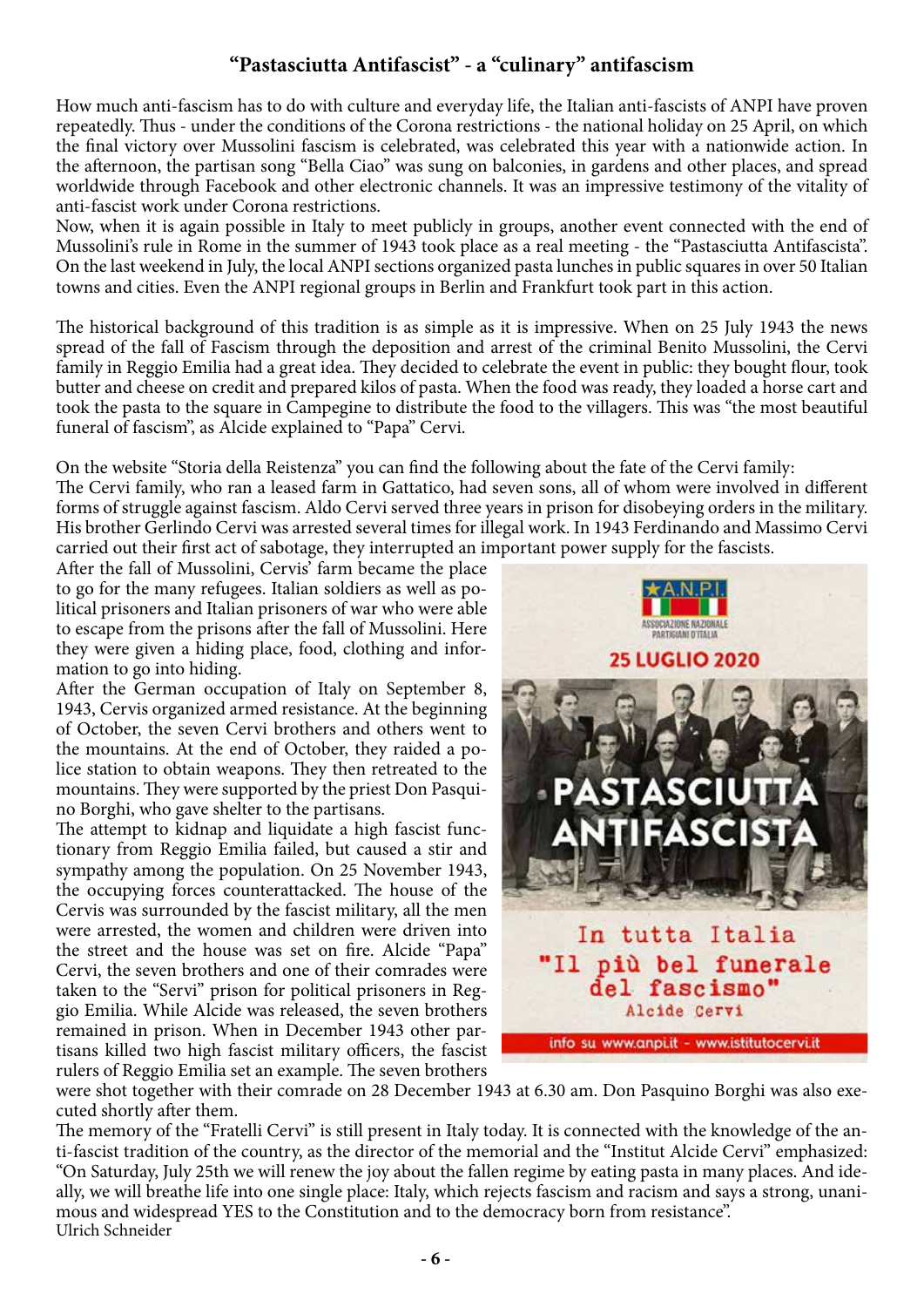# **"Pastasciutta Antifascist" - a "culinary" antifascism**

How much anti-fascism has to do with culture and everyday life, the Italian anti-fascists of ANPI have proven repeatedly. Thus - under the conditions of the Corona restrictions - the national holiday on 25 April, on which the final victory over Mussolini fascism is celebrated, was celebrated this year with a nationwide action. In the afternoon, the partisan song "Bella Ciao" was sung on balconies, in gardens and other places, and spread worldwide through Facebook and other electronic channels. It was an impressive testimony of the vitality of anti-fascist work under Corona restrictions.

Now, when it is again possible in Italy to meet publicly in groups, another event connected with the end of Mussolini's rule in Rome in the summer of 1943 took place as a real meeting - the "Pastasciutta Antifascista". On the last weekend in July, the local ANPI sections organized pasta lunches in public squares in over 50 Italian towns and cities. Even the ANPI regional groups in Berlin and Frankfurt took part in this action.

The historical background of this tradition is as simple as it is impressive. When on 25 July 1943 the news spread of the fall of Fascism through the deposition and arrest of the criminal Benito Mussolini, the Cervi family in Reggio Emilia had a great idea. They decided to celebrate the event in public: they bought flour, took butter and cheese on credit and prepared kilos of pasta. When the food was ready, they loaded a horse cart and took the pasta to the square in Campegine to distribute the food to the villagers. This was "the most beautiful funeral of fascism", as Alcide explained to "Papa" Cervi.

On the website "Storia della Reistenza" you can find the following about the fate of the Cervi family: The Cervi family, who ran a leased farm in Gattatico, had seven sons, all of whom were involved in different forms of struggle against fascism. Aldo Cervi served three years in prison for disobeying orders in the military. His brother Gerlindo Cervi was arrested several times for illegal work. In 1943 Ferdinando and Massimo Cervi

carried out their first act of sabotage, they interrupted an important power supply for the fascists. After the fall of Mussolini, Cervis' farm became the place to go for the many refugees. Italian soldiers as well as political prisoners and Italian prisoners of war who were able to escape from the prisons after the fall of Mussolini. Here they were given a hiding place, food, clothing and information to go into hiding.

After the German occupation of Italy on September 8, 1943, Cervis organized armed resistance. At the beginning of October, the seven Cervi brothers and others went to the mountains. At the end of October, they raided a police station to obtain weapons. They then retreated to the mountains. They were supported by the priest Don Pasquino Borghi, who gave shelter to the partisans.

The attempt to kidnap and liquidate a high fascist functionary from Reggio Emilia failed, but caused a stir and sympathy among the population. On 25 November 1943, the occupying forces counterattacked. The house of the Cervis was surrounded by the fascist military, all the men were arrested, the women and children were driven into the street and the house was set on fire. Alcide "Papa" Cervi, the seven brothers and one of their comrades were taken to the "Servi" prison for political prisoners in Reggio Emilia. While Alcide was released, the seven brothers remained in prison. When in December 1943 other partisans killed two high fascist military officers, the fascist rulers of Reggio Emilia set an example. The seven brothers



were shot together with their comrade on 28 December 1943 at 6.30 am. Don Pasquino Borghi was also executed shortly after them.

The memory of the "Fratelli Cervi" is still present in Italy today. It is connected with the knowledge of the anti-fascist tradition of the country, as the director of the memorial and the "Institut Alcide Cervi" emphasized: "On Saturday, July 25th we will renew the joy about the fallen regime by eating pasta in many places. And ideally, we will breathe life into one single place: Italy, which rejects fascism and racism and says a strong, unanimous and widespread YES to the Constitution and to the democracy born from resistance". Ulrich Schneider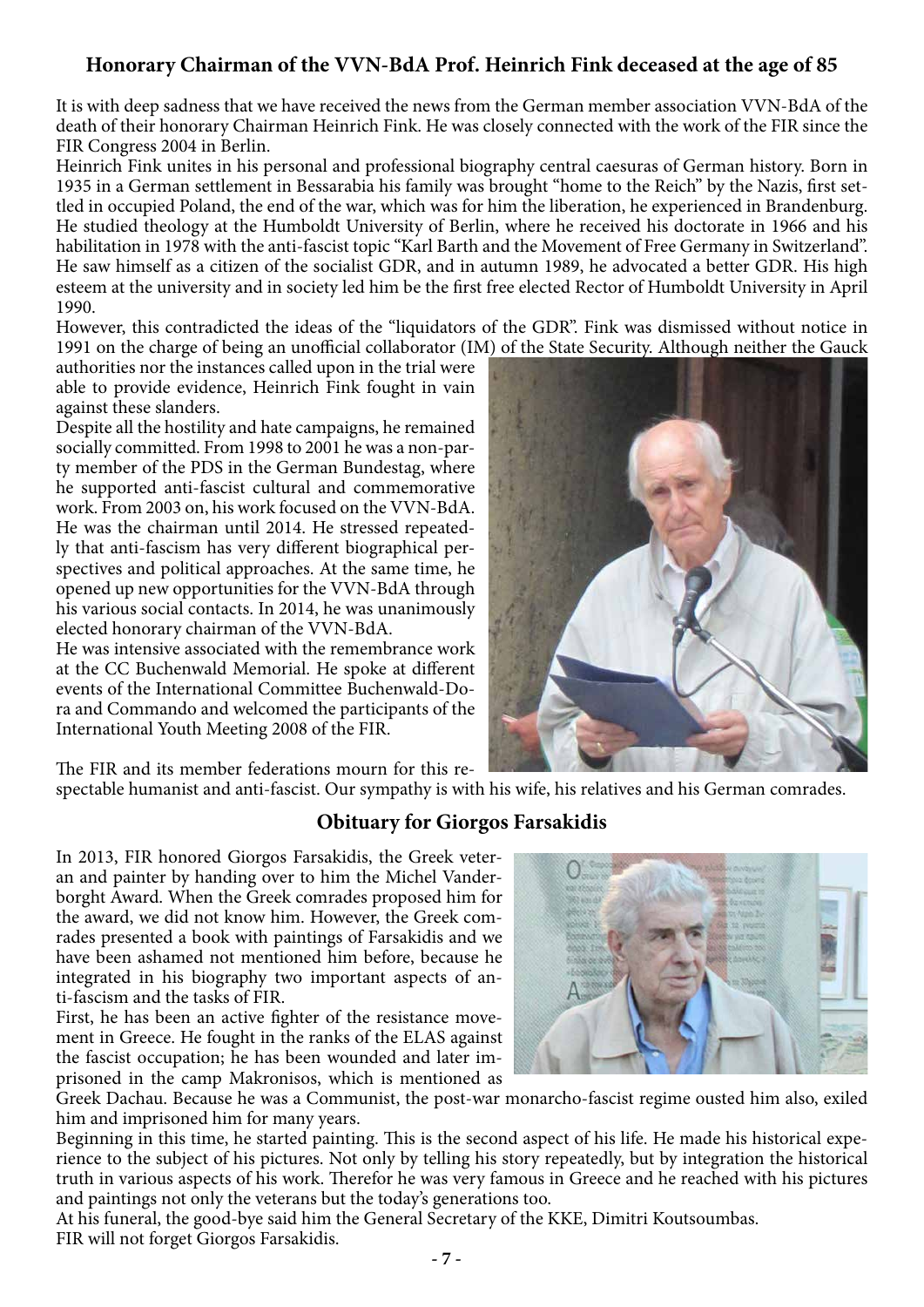# **Honorary Chairman of the VVN-BdA Prof. Heinrich Fink deceased at the age of 85**

It is with deep sadness that we have received the news from the German member association VVN-BdA of the death of their honorary Chairman Heinrich Fink. He was closely connected with the work of the FIR since the FIR Congress 2004 in Berlin.

Heinrich Fink unites in his personal and professional biography central caesuras of German history. Born in 1935 in a German settlement in Bessarabia his family was brought "home to the Reich" by the Nazis, first settled in occupied Poland, the end of the war, which was for him the liberation, he experienced in Brandenburg. He studied theology at the Humboldt University of Berlin, where he received his doctorate in 1966 and his habilitation in 1978 with the anti-fascist topic "Karl Barth and the Movement of Free Germany in Switzerland". He saw himself as a citizen of the socialist GDR, and in autumn 1989, he advocated a better GDR. His high esteem at the university and in society led him be the first free elected Rector of Humboldt University in April 1990.

However, this contradicted the ideas of the "liquidators of the GDR". Fink was dismissed without notice in 1991 on the charge of being an unofficial collaborator (IM) of the State Security. Although neither the Gauck

authorities nor the instances called upon in the trial were able to provide evidence, Heinrich Fink fought in vain against these slanders.

Despite all the hostility and hate campaigns, he remained socially committed. From 1998 to 2001 he was a non-party member of the PDS in the German Bundestag, where he supported anti-fascist cultural and commemorative work. From 2003 on, his work focused on the VVN-BdA. He was the chairman until 2014. He stressed repeatedly that anti-fascism has very different biographical perspectives and political approaches. At the same time, he opened up new opportunities for the VVN-BdA through his various social contacts. In 2014, he was unanimously elected honorary chairman of the VVN-BdA.

He was intensive associated with the remembrance work at the CC Buchenwald Memorial. He spoke at different events of the International Committee Buchenwald-Dora and Commando and welcomed the participants of the International Youth Meeting 2008 of the FIR.



The FIR and its member federations mourn for this re-

spectable humanist and anti-fascist. Our sympathy is with his wife, his relatives and his German comrades.

# **Obituary for Giorgos Farsakidis**

In 2013, FIR honored Giorgos Farsakidis, the Greek veteran and painter by handing over to him the Michel Vanderborght Award. When the Greek comrades proposed him for the award, we did not know him. However, the Greek comrades presented a book with paintings of Farsakidis and we have been ashamed not mentioned him before, because he integrated in his biography two important aspects of anti-fascism and the tasks of FIR.

First, he has been an active fighter of the resistance movement in Greece. He fought in the ranks of the ELAS against the fascist occupation; he has been wounded and later imprisoned in the camp Makronisos, which is mentioned as



Greek Dachau. Because he was a Communist, the post-war monarcho-fascist regime ousted him also, exiled him and imprisoned him for many years.

Beginning in this time, he started painting. This is the second aspect of his life. He made his historical experience to the subject of his pictures. Not only by telling his story repeatedly, but by integration the historical truth in various aspects of his work. Therefor he was very famous in Greece and he reached with his pictures and paintings not only the veterans but the today's generations too.

At his funeral, the good-bye said him the General Secretary of the KKE, Dimitri Koutsoumbas. FIR will not forget Giorgos Farsakidis.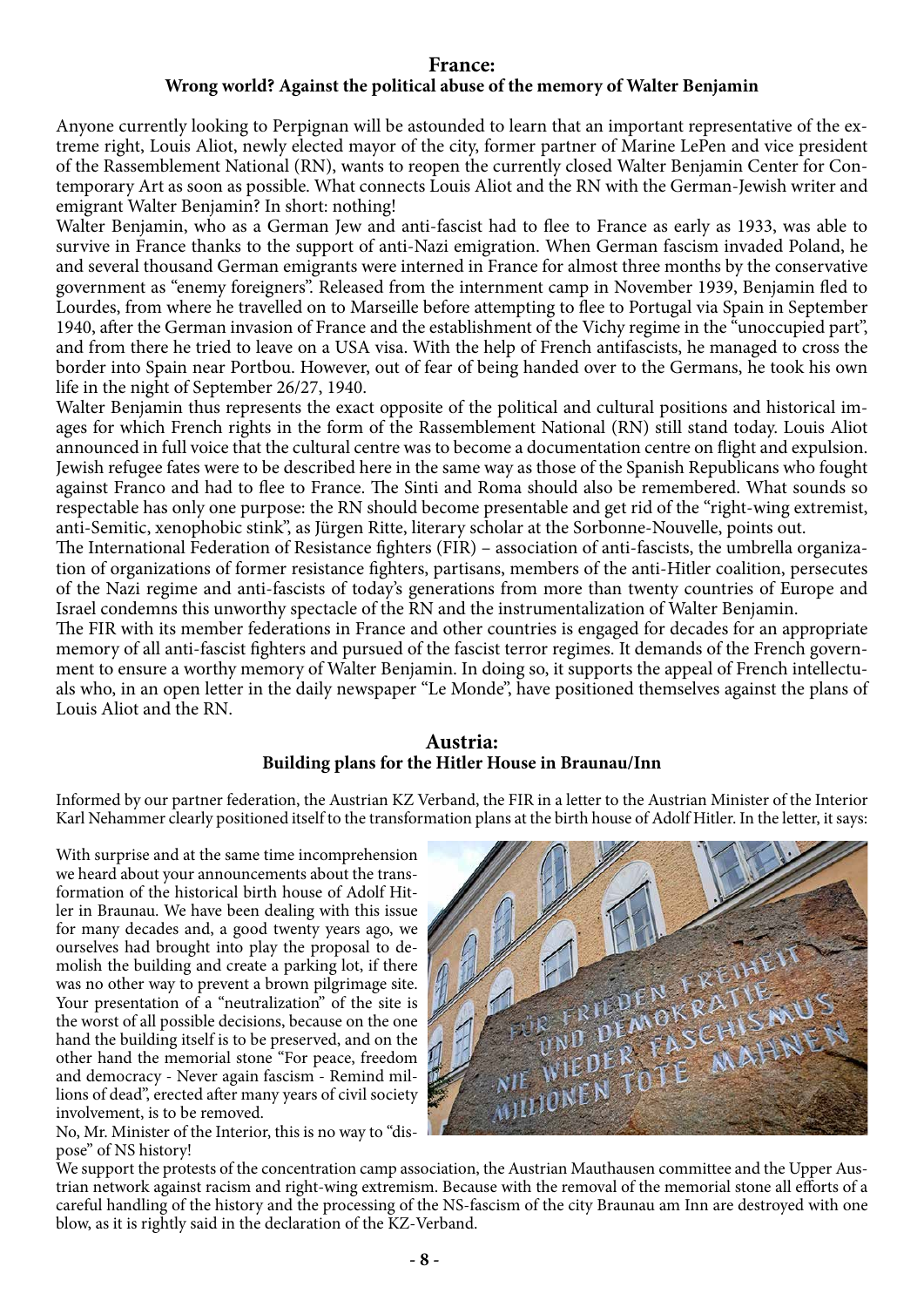#### **France:**

#### **Wrong world? Against the political abuse of the memory of Walter Benjamin**

Anyone currently looking to Perpignan will be astounded to learn that an important representative of the extreme right, Louis Aliot, newly elected mayor of the city, former partner of Marine LePen and vice president of the Rassemblement National (RN), wants to reopen the currently closed Walter Benjamin Center for Contemporary Art as soon as possible. What connects Louis Aliot and the RN with the German-Jewish writer and emigrant Walter Benjamin? In short: nothing!

Walter Benjamin, who as a German Jew and anti-fascist had to flee to France as early as 1933, was able to survive in France thanks to the support of anti-Nazi emigration. When German fascism invaded Poland, he and several thousand German emigrants were interned in France for almost three months by the conservative government as "enemy foreigners". Released from the internment camp in November 1939, Benjamin fled to Lourdes, from where he travelled on to Marseille before attempting to flee to Portugal via Spain in September 1940, after the German invasion of France and the establishment of the Vichy regime in the "unoccupied part", and from there he tried to leave on a USA visa. With the help of French antifascists, he managed to cross the border into Spain near Portbou. However, out of fear of being handed over to the Germans, he took his own life in the night of September 26/27, 1940.

Walter Benjamin thus represents the exact opposite of the political and cultural positions and historical images for which French rights in the form of the Rassemblement National (RN) still stand today. Louis Aliot announced in full voice that the cultural centre was to become a documentation centre on flight and expulsion. Jewish refugee fates were to be described here in the same way as those of the Spanish Republicans who fought against Franco and had to flee to France. The Sinti and Roma should also be remembered. What sounds so respectable has only one purpose: the RN should become presentable and get rid of the "right-wing extremist, anti-Semitic, xenophobic stink", as Jürgen Ritte, literary scholar at the Sorbonne-Nouvelle, points out.

The International Federation of Resistance fighters (FIR) – association of anti-fascists, the umbrella organization of organizations of former resistance fighters, partisans, members of the anti-Hitler coalition, persecutes of the Nazi regime and anti-fascists of today's generations from more than twenty countries of Europe and Israel condemns this unworthy spectacle of the RN and the instrumentalization of Walter Benjamin.

The FIR with its member federations in France and other countries is engaged for decades for an appropriate memory of all anti-fascist fighters and pursued of the fascist terror regimes. It demands of the French government to ensure a worthy memory of Walter Benjamin. In doing so, it supports the appeal of French intellectuals who, in an open letter in the daily newspaper "Le Monde", have positioned themselves against the plans of Louis Aliot and the RN.

#### **Austria: Building plans for the Hitler House in Braunau/Inn**

Informed by our partner federation, the Austrian KZ Verband, the FIR in a letter to the Austrian Minister of the Interior Karl Nehammer clearly positioned itself to the transformation plans at the birth house of Adolf Hitler. In the letter, it says:

With surprise and at the same time incomprehension we heard about your announcements about the transformation of the historical birth house of Adolf Hitler in Braunau. We have been dealing with this issue for many decades and, a good twenty years ago, we ourselves had brought into play the proposal to demolish the building and create a parking lot, if there was no other way to prevent a brown pilgrimage site. Your presentation of a "neutralization" of the site is the worst of all possible decisions, because on the one hand the building itself is to be preserved, and on the other hand the memorial stone "For peace, freedom and democracy - Never again fascism - Remind millions of dead", erected after many years of civil society involvement, is to be removed.

No, Mr. Minister of the Interior, this is no way to "dispose" of NS history!



We support the protests of the concentration camp association, the Austrian Mauthausen committee and the Upper Austrian network against racism and right-wing extremism. Because with the removal of the memorial stone all efforts of a careful handling of the history and the processing of the NS-fascism of the city Braunau am Inn are destroyed with one blow, as it is rightly said in the declaration of the KZ-Verband.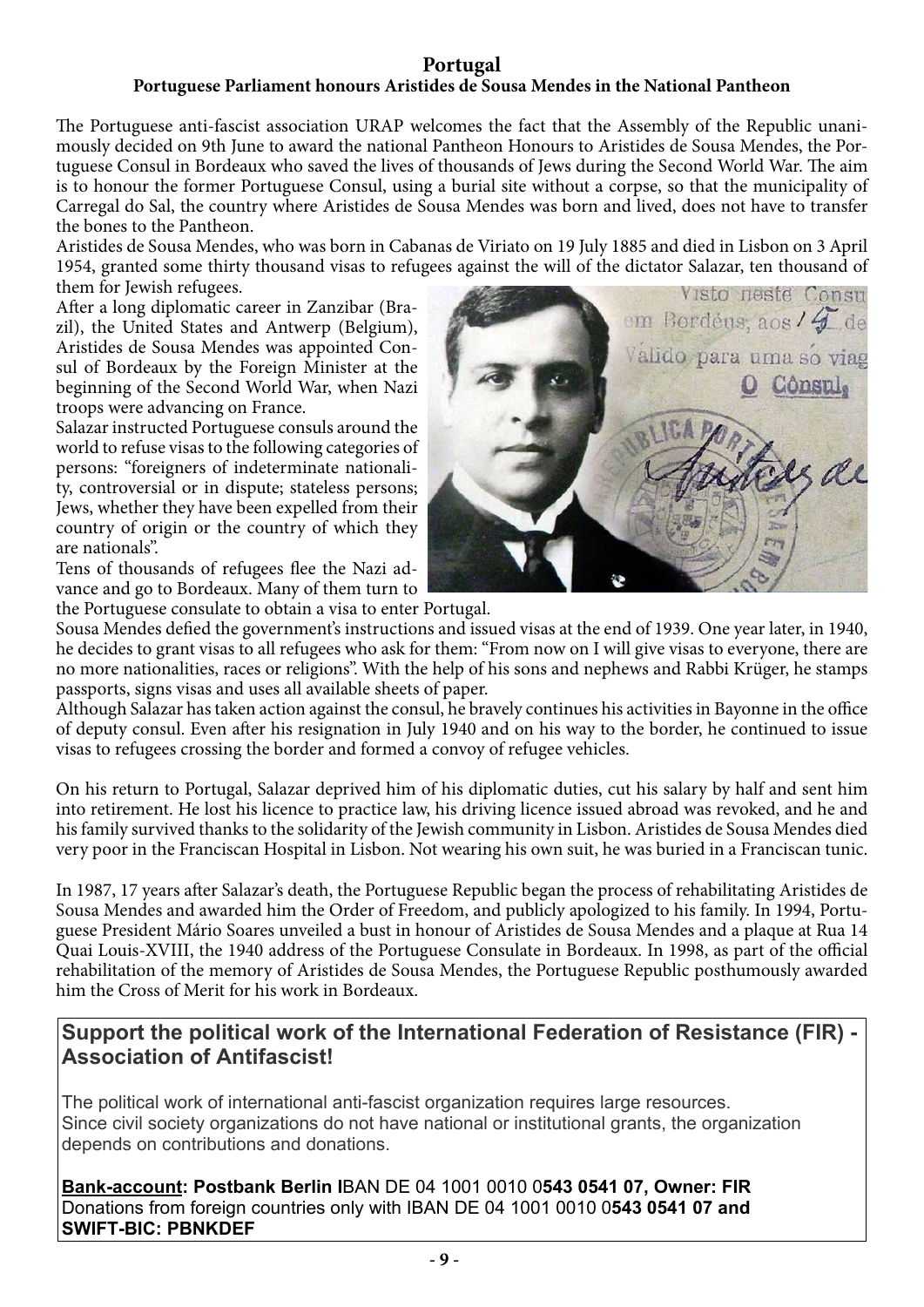# **Portugal**

# **Portuguese Parliament honours Aristides de Sousa Mendes in the National Pantheon**

The Portuguese anti-fascist association URAP welcomes the fact that the Assembly of the Republic unanimously decided on 9th June to award the national Pantheon Honours to Aristides de Sousa Mendes, the Portuguese Consul in Bordeaux who saved the lives of thousands of Jews during the Second World War. The aim is to honour the former Portuguese Consul, using a burial site without a corpse, so that the municipality of Carregal do Sal, the country where Aristides de Sousa Mendes was born and lived, does not have to transfer the bones to the Pantheon.

Aristides de Sousa Mendes, who was born in Cabanas de Viriato on 19 July 1885 and died in Lisbon on 3 April 1954, granted some thirty thousand visas to refugees against the will of the dictator Salazar, ten thousand of them for Jewish refugees.

After a long diplomatic career in Zanzibar (Brazil), the United States and Antwerp (Belgium), Aristides de Sousa Mendes was appointed Consul of Bordeaux by the Foreign Minister at the beginning of the Second World War, when Nazi troops were advancing on France.

Salazar instructed Portuguese consuls around the world to refuse visas to the following categories of persons: "foreigners of indeterminate nationality, controversial or in dispute; stateless persons; Jews, whether they have been expelled from their country of origin or the country of which they are nationals".

Tens of thousands of refugees flee the Nazi advance and go to Bordeaux. Many of them turn to

the Portuguese consulate to obtain a visa to enter Portugal.



Sousa Mendes defied the government's instructions and issued visas at the end of 1939. One year later, in 1940, he decides to grant visas to all refugees who ask for them: "From now on I will give visas to everyone, there are no more nationalities, races or religions". With the help of his sons and nephews and Rabbi Krüger, he stamps passports, signs visas and uses all available sheets of paper.

Although Salazar has taken action against the consul, he bravely continues his activities in Bayonne in the office of deputy consul. Even after his resignation in July 1940 and on his way to the border, he continued to issue visas to refugees crossing the border and formed a convoy of refugee vehicles.

On his return to Portugal, Salazar deprived him of his diplomatic duties, cut his salary by half and sent him into retirement. He lost his licence to practice law, his driving licence issued abroad was revoked, and he and his family survived thanks to the solidarity of the Jewish community in Lisbon. Aristides de Sousa Mendes died very poor in the Franciscan Hospital in Lisbon. Not wearing his own suit, he was buried in a Franciscan tunic.

In 1987, 17 years after Salazar's death, the Portuguese Republic began the process of rehabilitating Aristides de Sousa Mendes and awarded him the Order of Freedom, and publicly apologized to his family. In 1994, Portuguese President Mário Soares unveiled a bust in honour of Aristides de Sousa Mendes and a plaque at Rua 14 Quai Louis-XVIII, the 1940 address of the Portuguese Consulate in Bordeaux. In 1998, as part of the official rehabilitation of the memory of Aristides de Sousa Mendes, the Portuguese Republic posthumously awarded him the Cross of Merit for his work in Bordeaux.

# **Support the political work of the International Federation of Resistance (FIR) - Association of Antifascist!**

The political work of international anti-fascist organization requires large resources. Since civil society organizations do not have national or institutional grants, the organization depends on contributions and donations.

**Bank-account: Postbank Berlin I**BAN DE 04 1001 0010 0**543 0541 07, Owner: FIR**  Donations from foreign countries only with IBAN DE 04 1001 0010 0**543 0541 07 and SWIFT-BIC: PBNKDEF**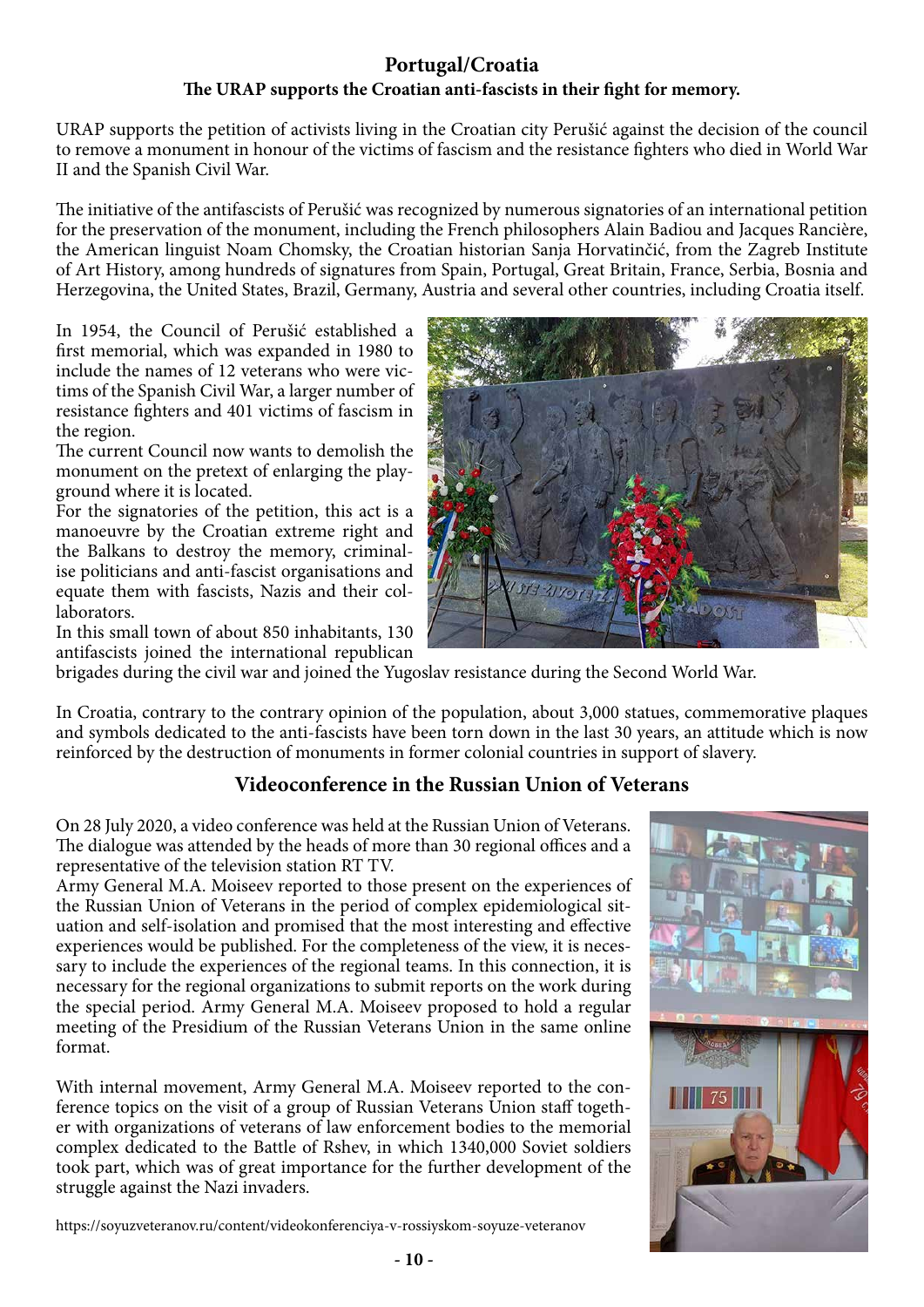# **Portugal/Croatia The URAP supports the Croatian anti-fascists in their fight for memory.**

URAP supports the petition of activists living in the Croatian city Perušić against the decision of the council to remove a monument in honour of the victims of fascism and the resistance fighters who died in World War II and the Spanish Civil War.

The initiative of the antifascists of Perušić was recognized by numerous signatories of an international petition for the preservation of the monument, including the French philosophers Alain Badiou and Jacques Rancière, the American linguist Noam Chomsky, the Croatian historian Sanja Horvatinčić, from the Zagreb Institute of Art History, among hundreds of signatures from Spain, Portugal, Great Britain, France, Serbia, Bosnia and Herzegovina, the United States, Brazil, Germany, Austria and several other countries, including Croatia itself.

In 1954, the Council of Perušić established a first memorial, which was expanded in 1980 to include the names of 12 veterans who were victims of the Spanish Civil War, a larger number of resistance fighters and 401 victims of fascism in the region.

The current Council now wants to demolish the monument on the pretext of enlarging the playground where it is located.

For the signatories of the petition, this act is a manoeuvre by the Croatian extreme right and the Balkans to destroy the memory, criminalise politicians and anti-fascist organisations and equate them with fascists, Nazis and their collaborators.

In this small town of about 850 inhabitants, 130 antifascists joined the international republican



brigades during the civil war and joined the Yugoslav resistance during the Second World War.

In Croatia, contrary to the contrary opinion of the population, about 3,000 statues, commemorative plaques and symbols dedicated to the anti-fascists have been torn down in the last 30 years, an attitude which is now reinforced by the destruction of monuments in former colonial countries in support of slavery.

# **Videoconference in the Russian Union of Veterans**

On 28 July 2020, a video conference was held at the Russian Union of Veterans. The dialogue was attended by the heads of more than 30 regional offices and a representative of the television station RT TV.

Army General M.A. Moiseev reported to those present on the experiences of the Russian Union of Veterans in the period of complex epidemiological situation and self-isolation and promised that the most interesting and effective experiences would be published. For the completeness of the view, it is necessary to include the experiences of the regional teams. In this connection, it is necessary for the regional organizations to submit reports on the work during the special period. Army General M.A. Moiseev proposed to hold a regular meeting of the Presidium of the Russian Veterans Union in the same online format.

With internal movement, Army General M.A. Moiseev reported to the conference topics on the visit of a group of Russian Veterans Union staff together with organizations of veterans of law enforcement bodies to the memorial complex dedicated to the Battle of Rshev, in which 1340,000 Soviet soldiers took part, which was of great importance for the further development of the struggle against the Nazi invaders.

https://soyuzveteranov.ru/content/videokonferenciya-v-rossiyskom-soyuze-veteranov

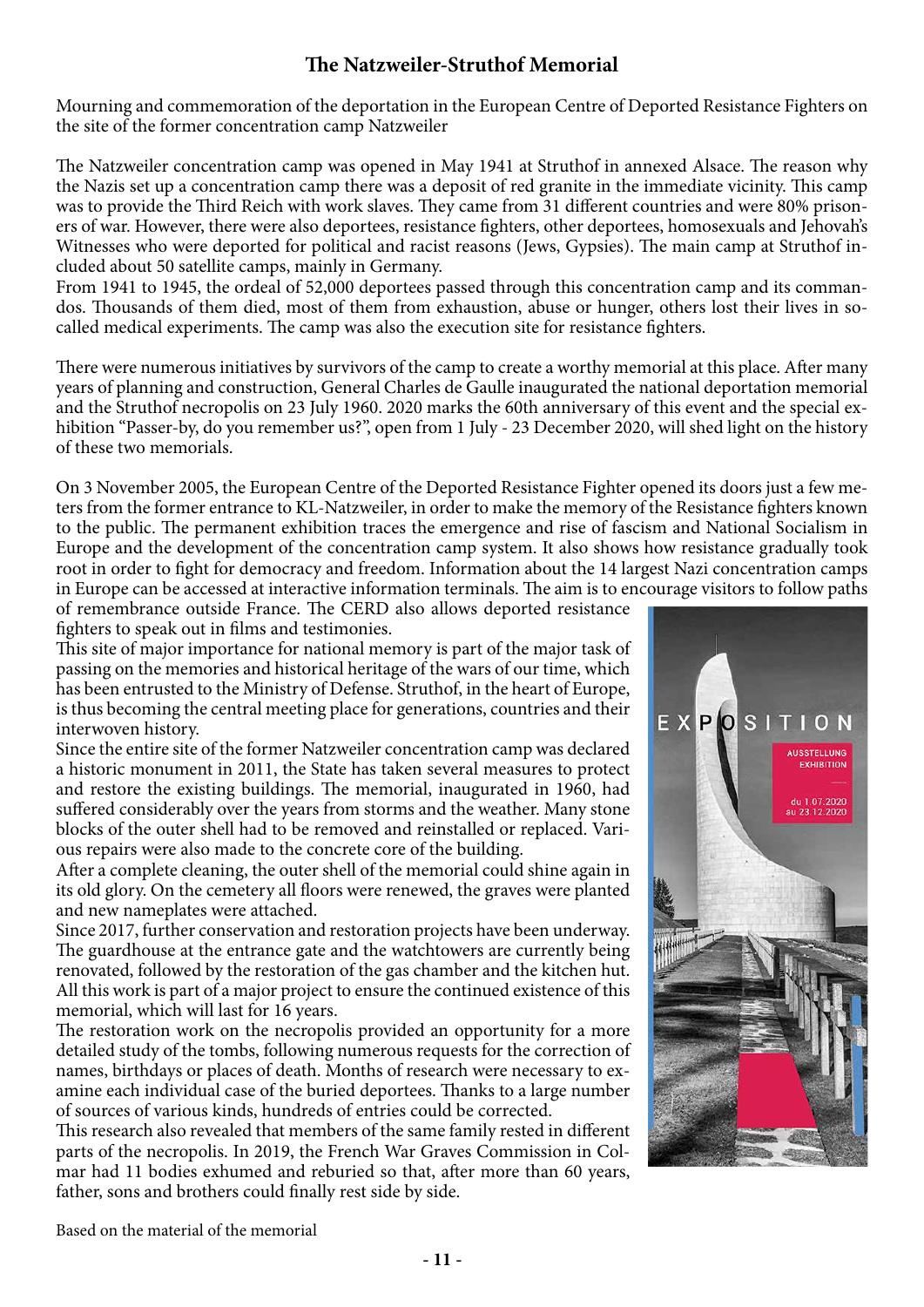# **The Natzweiler-Struthof Memorial**

Mourning and commemoration of the deportation in the European Centre of Deported Resistance Fighters on the site of the former concentration camp Natzweiler

The Natzweiler concentration camp was opened in May 1941 at Struthof in annexed Alsace. The reason why the Nazis set up a concentration camp there was a deposit of red granite in the immediate vicinity. This camp was to provide the Third Reich with work slaves. They came from 31 different countries and were 80% prisoners of war. However, there were also deportees, resistance fighters, other deportees, homosexuals and Jehovah's Witnesses who were deported for political and racist reasons (Jews, Gypsies). The main camp at Struthof included about 50 satellite camps, mainly in Germany.

From 1941 to 1945, the ordeal of 52,000 deportees passed through this concentration camp and its commandos. Thousands of them died, most of them from exhaustion, abuse or hunger, others lost their lives in socalled medical experiments. The camp was also the execution site for resistance fighters.

There were numerous initiatives by survivors of the camp to create a worthy memorial at this place. After many years of planning and construction, General Charles de Gaulle inaugurated the national deportation memorial and the Struthof necropolis on 23 July 1960. 2020 marks the 60th anniversary of this event and the special exhibition "Passer-by, do you remember us?", open from 1 July - 23 December 2020, will shed light on the history of these two memorials.

On 3 November 2005, the European Centre of the Deported Resistance Fighter opened its doors just a few meters from the former entrance to KL-Natzweiler, in order to make the memory of the Resistance fighters known to the public. The permanent exhibition traces the emergence and rise of fascism and National Socialism in Europe and the development of the concentration camp system. It also shows how resistance gradually took root in order to fight for democracy and freedom. Information about the 14 largest Nazi concentration camps in Europe can be accessed at interactive information terminals. The aim is to encourage visitors to follow paths

of remembrance outside France. The CERD also allows deported resistance fighters to speak out in films and testimonies.

This site of major importance for national memory is part of the major task of passing on the memories and historical heritage of the wars of our time, which has been entrusted to the Ministry of Defense. Struthof, in the heart of Europe, is thus becoming the central meeting place for generations, countries and their interwoven history.

Since the entire site of the former Natzweiler concentration camp was declared a historic monument in 2011, the State has taken several measures to protect and restore the existing buildings. The memorial, inaugurated in 1960, had suffered considerably over the years from storms and the weather. Many stone blocks of the outer shell had to be removed and reinstalled or replaced. Various repairs were also made to the concrete core of the building.

After a complete cleaning, the outer shell of the memorial could shine again in its old glory. On the cemetery all floors were renewed, the graves were planted and new nameplates were attached.

Since 2017, further conservation and restoration projects have been underway. The guardhouse at the entrance gate and the watchtowers are currently being renovated, followed by the restoration of the gas chamber and the kitchen hut. All this work is part of a major project to ensure the continued existence of this memorial, which will last for 16 years.

The restoration work on the necropolis provided an opportunity for a more detailed study of the tombs, following numerous requests for the correction of names, birthdays or places of death. Months of research were necessary to examine each individual case of the buried deportees. Thanks to a large number of sources of various kinds, hundreds of entries could be corrected.

This research also revealed that members of the same family rested in different parts of the necropolis. In 2019, the French War Graves Commission in Colmar had 11 bodies exhumed and reburied so that, after more than 60 years, father, sons and brothers could finally rest side by side.



Based on the material of the memorial